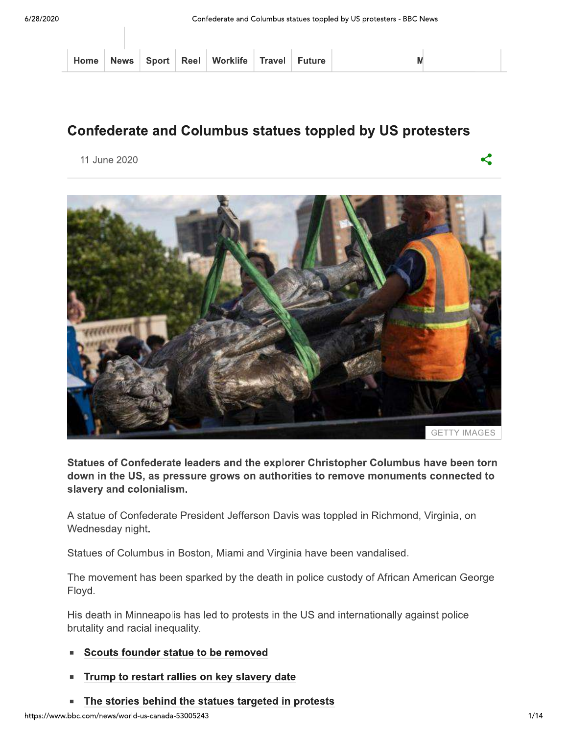|  |  |  |  |  | Home   News   Sport   Reel   Worklife   Travel   Future |  |  |  |  |
|--|--|--|--|--|---------------------------------------------------------|--|--|--|--|
|--|--|--|--|--|---------------------------------------------------------|--|--|--|--|



Statues of Confederate leaders and the explorer Christopher Columbus have been torn down in the US, as pressure grows on authorities to remove monuments connected to<br>slavery and colonialism. Statues of Confederate leaders and the explorer Christopher Columbus have been torn<br>down in the US, as pressure grows on authorities to remove monuments connected to<br>slavery and colonialism.<br>A statue of Confederate Preside

- 
- 
- 

<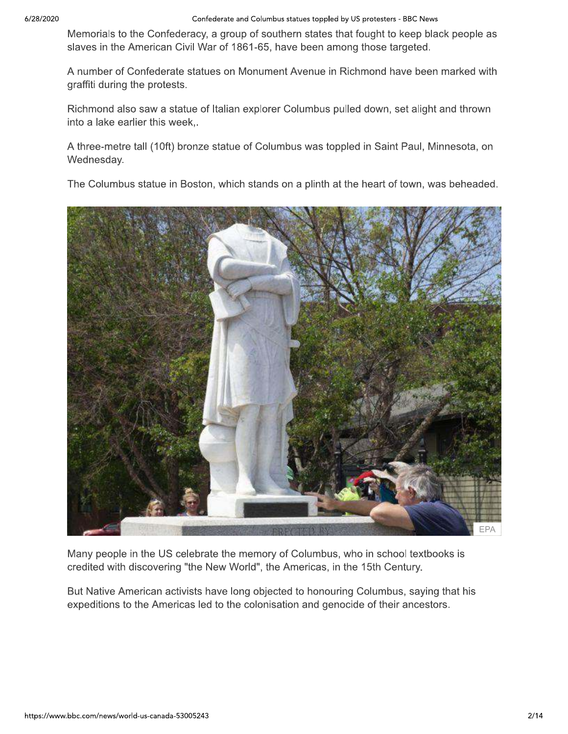Confederate and Columbus statues toppled by US protesters - BBC News

Memorials to the Confederacy, a group of southern states that fought to keep black people as slaves in the American Civil War of 1861-65, have been among those targeted.

A number of Confederate statues on Monument Avenue in Richmond have been marked with graffiti during the protests.

Richmond also saw a statue of Italian explorer Columbus pulled down, set alight and thrown into a lake earlier this week,.

A three-metre tall (10ft) bronze statue of Columbus was toppled in Saint Paul, Minnesota, on Wednesday.

The Columbus statue in Boston, which stands on a plinth at the heart of town, was beheaded.



Many people in the US celebrate the memory of Columbus, who in school textbooks is credited with discovering "the New World", the Americas, in the 15th Century.

But Native American activists have long objected to honouring Columbus, saying that his expeditions to the Americas led to the colonisation and genocide of their ancestors.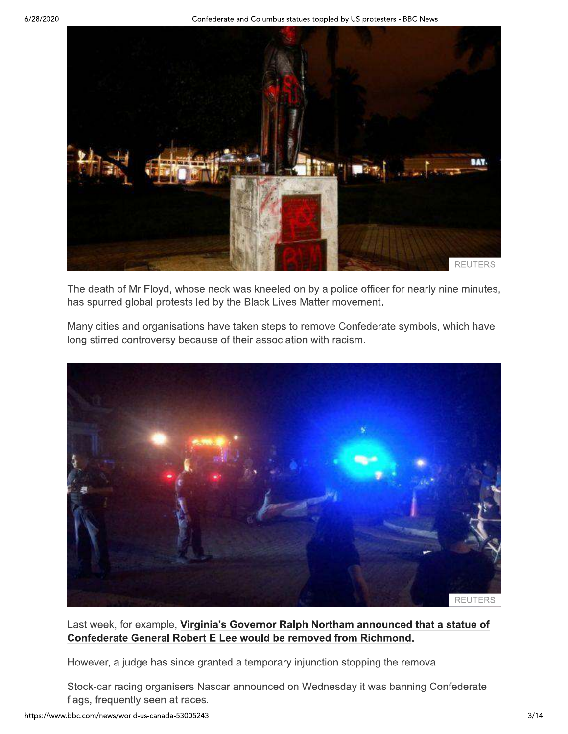

The death of Mr Floyd, whose neck was kneeled on by a police officer for nearly nine minutes, has spurred global protests led by the Black Lives Matter movement.

Many cities and organisations have taken steps to remove Confederate symbols, which have long stirred controversy because of their association with racism.



Last week, for example, Virginia's Governor Ralph Northam announced that a statue of Confederate General Robert E Lee would be removed from Richmond.

However, a judge has since granted a temporary injunction stopping the removal.

Stock-car racing organisers Nascar announced on Wednesday it was banning Confederate flags, frequently seen at races.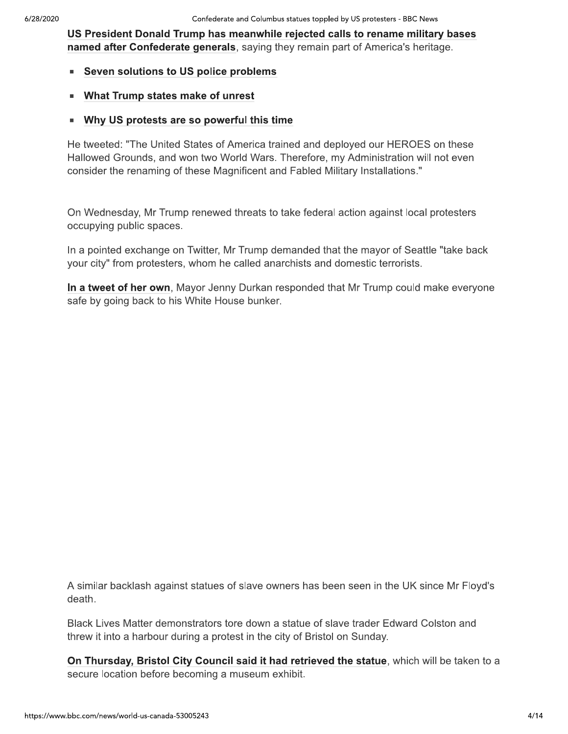US President Donald Trump has meanwhile rejected calls to rename military bases named after Confederate generals, saying they remain part of America's heritage.

- Seven solutions to US police problems
- **What Trump states make of unrest**  $\blacksquare$
- Why US protests are so powerful this time

He tweeted: "The United States of America trained and deployed our HEROES on these Hallowed Grounds, and won two World Wars. Therefore, my Administration will not even consider the renaming of these Magnificent and Fabled Military Installations."

On Wednesday, Mr Trump renewed threats to take federal action against local protesters occupying public spaces.

In a pointed exchange on Twitter, Mr Trump demanded that the mayor of Seattle "take back your city" from protesters, whom he called anarchists and domestic terrorists.

In a tweet of her own, Mayor Jenny Durkan responded that Mr Trump could make everyone safe by going back to his White House bunker.

A similar backlash against statues of slave owners has been seen in the UK since Mr Floyd's death.

Black Lives Matter demonstrators tore down a statue of slave trader Edward Colston and threw it into a harbour during a protest in the city of Bristol on Sunday.

On Thursday, Bristol City Council said it had retrieved the statue, which will be taken to a secure location before becoming a museum exhibit.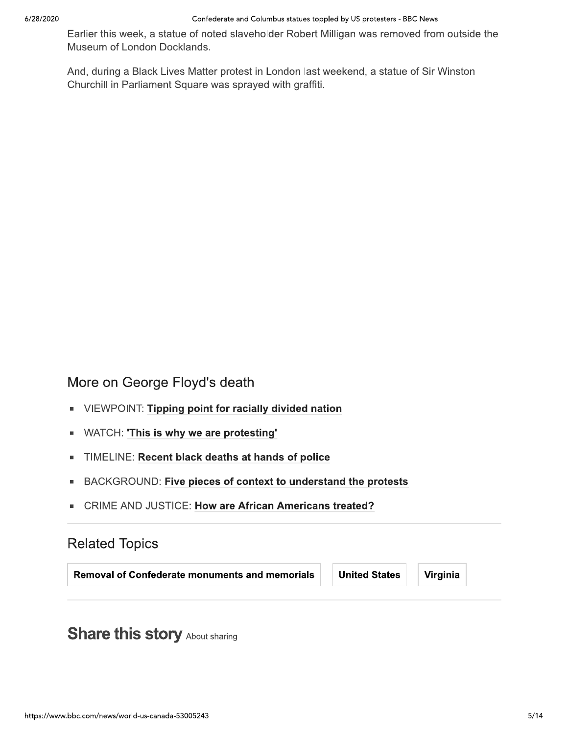Earlier this week, a statue of noted slaveholder Robert Milligan was removed from outside the Museum of London Docklands.

And, during a Black Lives Matter protest in London last weekend, a statue of Sir Winston Churchill in Parliament Square was sprayed with graffiti.

More on George Floyd's death

- VIEWPOINT: Tipping point for racially divided nation
- WATCH: 'This is why we are protesting' ×,
- TIMELINE: Recent black deaths at hands of police  $\blacksquare$
- BACKGROUND: Five pieces of context to understand the protests
- **CRIME AND JUSTICE: How are African Americans treated?**

# **Related Topics**

**Removal of Confederate monuments and memorials** 

**United States** 

Virginia

**Share this story About sharing**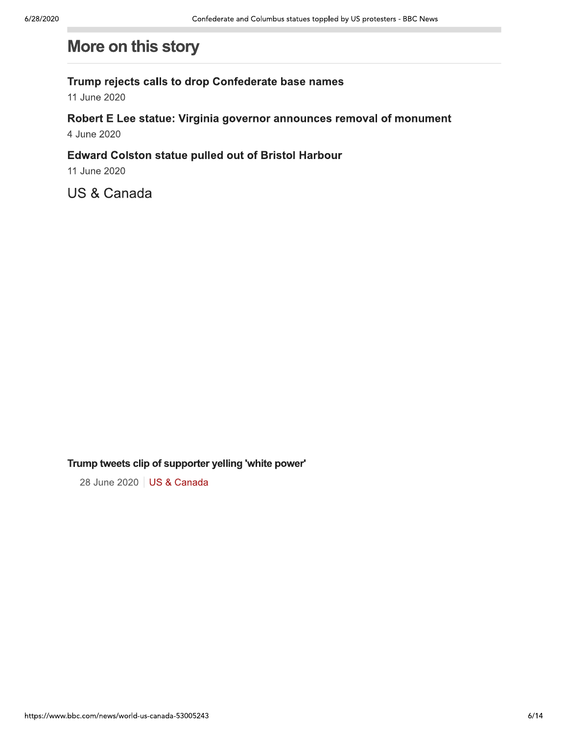# Confederate and Columbus statues toppled by US protesters - BBC News<br>
More on this story<br>
Trump rejects calls to drop Confederate base names<br>
11 June 2020<br>
Robert E Lee statue: Virginia governor announces removal of monume

Trump tweets clip of supporter yelling 'white power'<br>28 June 2020 | US & Canada

28 June 2020 | US & Canada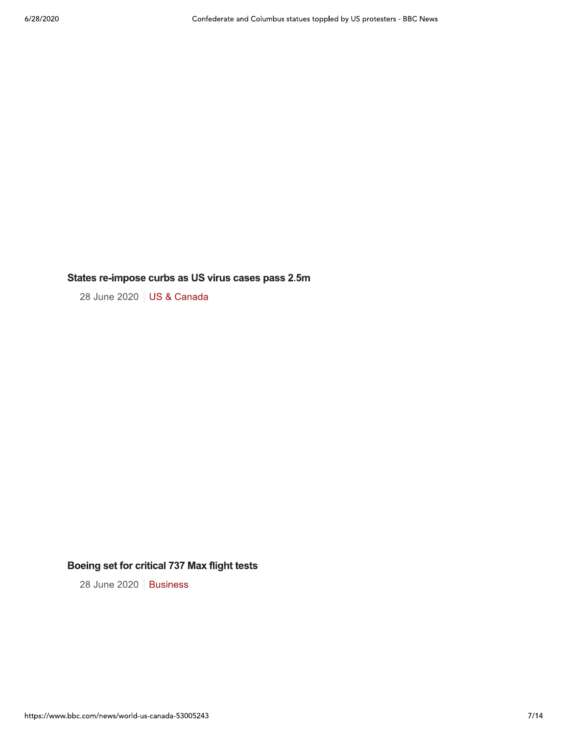## States re-impose curbs as US virus cases pass 2.5m

28 June 2020 | US & Canada

# Boeing set for critical 737 Max flight tests

28 June 2020 | Business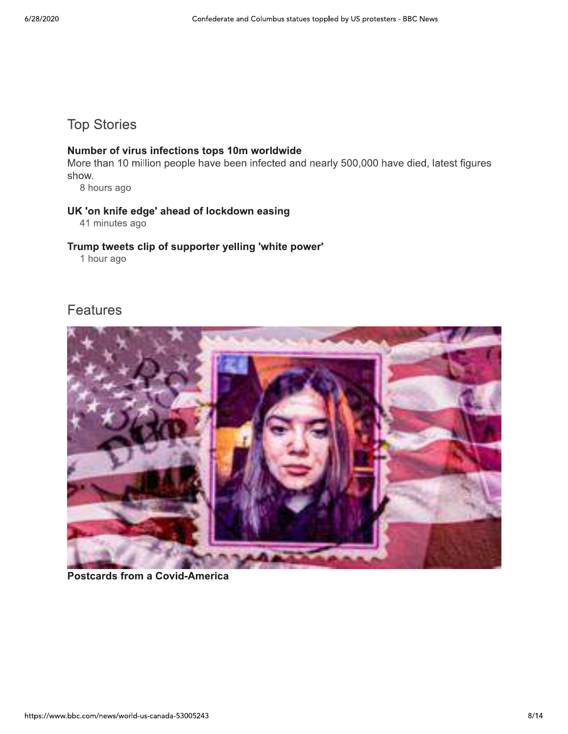# **Top Stories**

### Number of virus infections tops 10m worldwide

More than 10 million people have been infected and nearly 500,000 have died, latest figures show.

8 hours ago

### UK 'on knife edge' ahead of lockdown easing

41 minutes ago

### Trump tweets clip of supporter yelling 'white power'

1 hour ago

# **Features**



**Postcards from a Covid-America**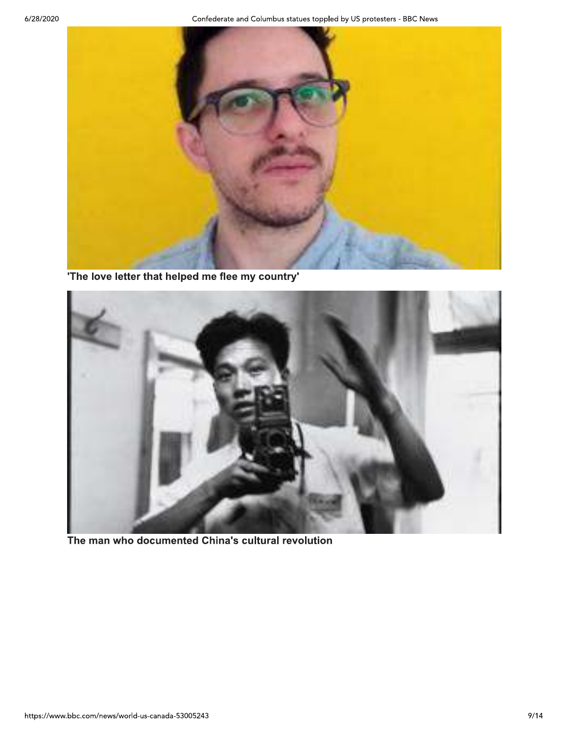

'The love letter that helped me flee my country'



The man who documented China's cultural revolution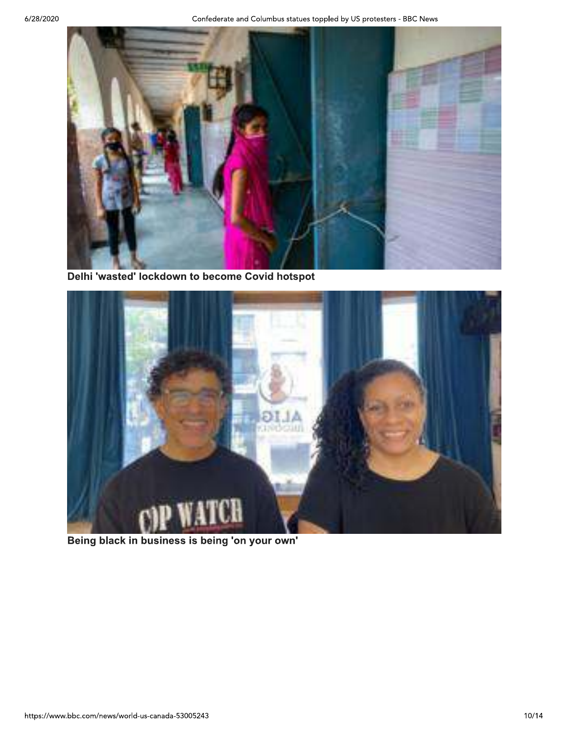

Delhi 'wasted' lockdown to become Covid hotspot



Being black in business is being 'on your own'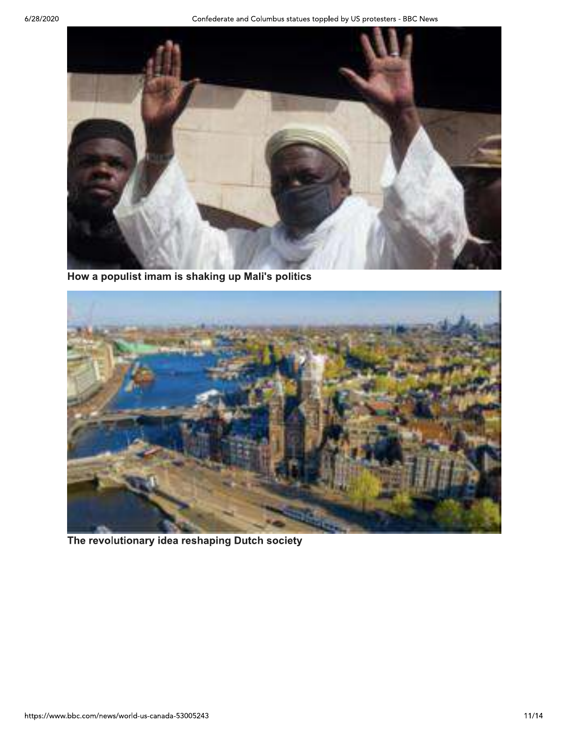

How a populist imam is shaking up Mali's politics



The revolutionary idea reshaping Dutch society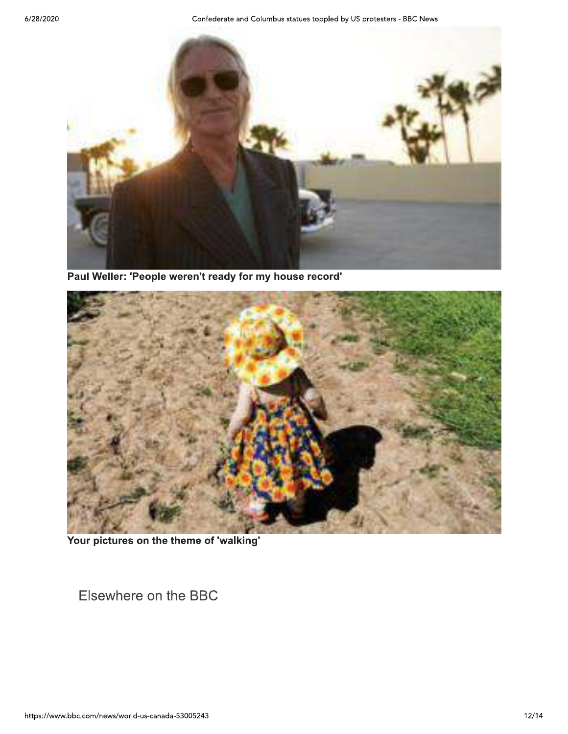Confederate and Columbus statues toppled by US protesters - BBC News



Paul Weller: 'People weren't ready for my house record'



Your pictures on the theme of 'walking'

Elsewhere on the BBC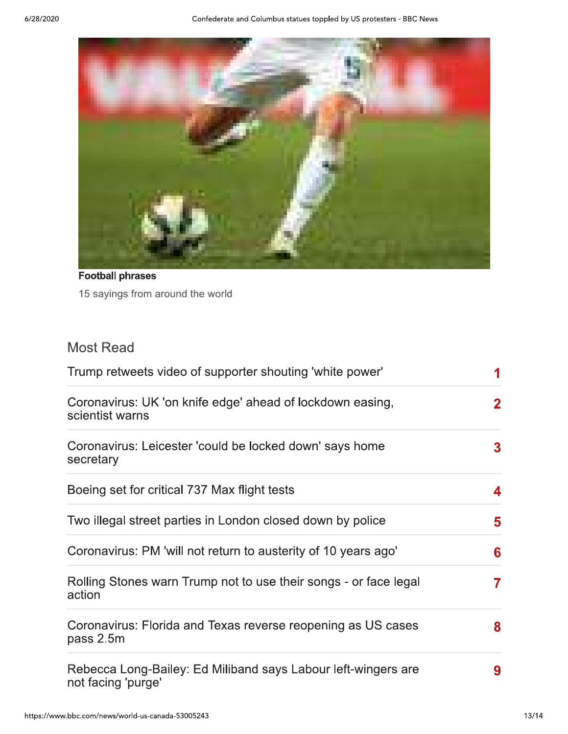

**Football phrases** 15 sayings from around the world

# **Most Read**

| Trump retweets video of supporter shouting 'white power'                            |              |
|-------------------------------------------------------------------------------------|--------------|
| Coronavirus: UK 'on knife edge' ahead of lockdown easing,<br>scientist warns        | $\mathbf{2}$ |
| Coronavirus: Leicester 'could be locked down' says home<br>secretary                | 3            |
| Boeing set for critical 737 Max flight tests                                        | 4            |
| Two illegal street parties in London closed down by police                          | 5            |
| Coronavirus: PM 'will not return to austerity of 10 years ago'                      | 6            |
| Rolling Stones warn Trump not to use their songs - or face legal<br>action          | 7            |
| Coronavirus: Florida and Texas reverse reopening as US cases<br>pass 2.5m           | 8            |
| Rebecca Long-Bailey: Ed Miliband says Labour left-wingers are<br>not facing 'purge' | 9            |